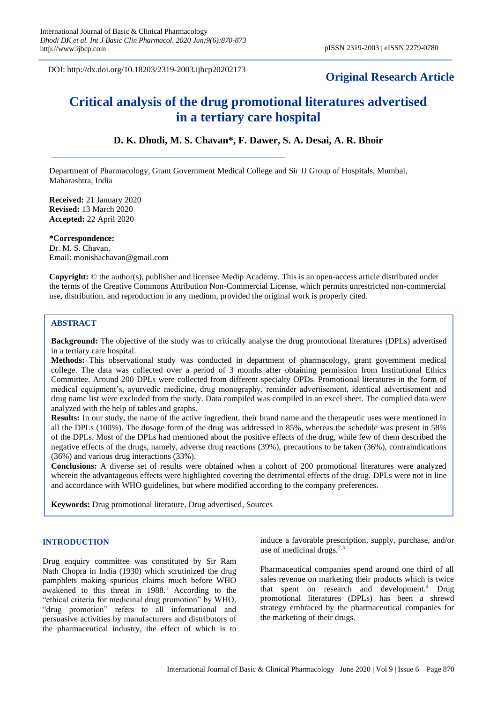DOI: http://dx.doi.org/10.18203/2319-2003.ijbcp20202173

# **Original Research Article**

# **Critical analysis of the drug promotional literatures advertised in a tertiary care hospital**

# **D. K. Dhodi, M. S. Chavan\*, F. Dawer, S. A. Desai, A. R. Bhoir**

Department of Pharmacology, Grant Government Medical College and Sir JJ Group of Hospitals, Mumbai, Maharashtra, India

**Received:** 21 January 2020 **Revised:** 13 March 2020 **Accepted:** 22 April 2020

#### **\*Correspondence:**

Dr. M. S. Chavan, Email: monishachavan@gmail.com

**Copyright:** © the author(s), publisher and licensee Medip Academy. This is an open-access article distributed under the terms of the Creative Commons Attribution Non-Commercial License, which permits unrestricted non-commercial use, distribution, and reproduction in any medium, provided the original work is properly cited.

## **ABSTRACT**

**Background:** The objective of the study was to critically analyse the drug promotional literatures (DPLs) advertised in a tertiary care hospital.

**Methods:** This observational study was conducted in department of pharmacology, grant government medical college. The data was collected over a period of 3 months after obtaining permission from Institutional Ethics Committee. Around 200 DPLs were collected from different specialty OPDs. Promotional literatures in the form of medical equipment's, ayurvedic medicine, drug monography, reminder advertisement, identical advertisement and drug name list were excluded from the study. Data compiled was compiled in an excel sheet. The complied data were analyzed with the help of tables and graphs.

**Results:** In our study, the name of the active ingredient, their brand name and the therapeutic uses were mentioned in all the DPLs (100%). The dosage form of the drug was addressed in 85%, whereas the schedule was present in 58% of the DPLs. Most of the DPLs had mentioned about the positive effects of the drug, while few of them described the negative effects of the drugs, namely, adverse drug reactions (39%), precautions to be taken (36%), contraindications (36%) and various drug interactions (33%).

**Conclusions:** A diverse set of results were obtained when a cohort of 200 promotional literatures were analyzed wherein the advantageous effects were highlighted covering the detrimental effects of the drug. DPLs were not in line and accordance with WHO guidelines, but where modified according to the company preferences.

**Keywords:** Drug promotional literature, Drug advertised, Sources

#### **INTRODUCTION**

Drug enquiry committee was constituted by Sir Ram Nath Chopra in India (1930) which scrutinized the drug pamphlets making spurious claims much before WHO awakened to this threat in  $1988<sup>1</sup>$ . According to the "ethical criteria for medicinal drug promotion" by WHO, "drug promotion" refers to all informational and persuasive activities by manufacturers and distributors of the pharmaceutical industry, the effect of which is to

induce a favorable prescription, supply, purchase, and/or use of medicinal drugs. $2,3$ 

Pharmaceutical companies spend around one third of all sales revenue on marketing their products which is twice that spent on research and development.<sup>4</sup> Drug promotional literatures (DPLs) has been a shrewd strategy embraced by the pharmaceutical companies for the marketing of their drugs.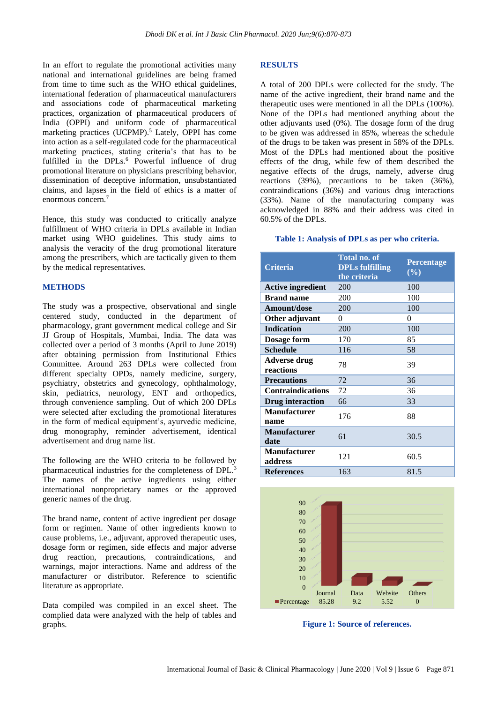In an effort to regulate the promotional activities many national and international guidelines are being framed from time to time such as the WHO ethical guidelines, international federation of pharmaceutical manufacturers and associations code of pharmaceutical marketing practices, organization of pharmaceutical producers of India (OPPI) and uniform code of pharmaceutical marketing practices (UCPMP).<sup>5</sup> Lately, OPPI has come into action as a self-regulated code for the pharmaceutical marketing practices, stating criteria's that has to be fulfilled in the  $DPLs$ .<sup>6</sup> Powerful influence of drug promotional literature on physicians prescribing behavior, dissemination of deceptive information, unsubstantiated claims, and lapses in the field of ethics is a matter of enormous concern.<sup>7</sup>

Hence, this study was conducted to critically analyze fulfillment of WHO criteria in DPLs available in Indian market using WHO guidelines. This study aims to analysis the veracity of the drug promotional literature among the prescribers, which are tactically given to them by the medical representatives.

#### **METHODS**

The study was a prospective, observational and single centered study, conducted in the department of pharmacology, grant government medical college and Sir JJ Group of Hospitals, Mumbai, India. The data was collected over a period of 3 months (April to June 2019) after obtaining permission from Institutional Ethics Committee. Around 263 DPLs were collected from different specialty OPDs, namely medicine, surgery, psychiatry, obstetrics and gynecology, ophthalmology, skin, pediatrics, neurology, ENT and orthopedics, through convenience sampling. Out of which 200 DPLs were selected after excluding the promotional literatures in the form of medical equipment's, ayurvedic medicine, drug monography, reminder advertisement, identical advertisement and drug name list.

The following are the WHO criteria to be followed by pharmaceutical industries for the completeness of DPL.<sup>3</sup> The names of the active ingredients using either international nonproprietary names or the approved generic names of the drug.

The brand name, content of active ingredient per dosage form or regimen. Name of other ingredients known to cause problems, i.e., adjuvant, approved therapeutic uses, dosage form or regimen, side effects and major adverse drug reaction, precautions, contraindications, and warnings, major interactions. Name and address of the manufacturer or distributor. Reference to scientific literature as appropriate.

Data compiled was compiled in an excel sheet. The complied data were analyzed with the help of tables and graphs.

#### **RESULTS**

A total of 200 DPLs were collected for the study. The name of the active ingredient, their brand name and the therapeutic uses were mentioned in all the DPLs (100%). None of the DPLs had mentioned anything about the other adjuvants used (0%). The dosage form of the drug to be given was addressed in 85%, whereas the schedule of the drugs to be taken was present in 58% of the DPLs. Most of the DPLs had mentioned about the positive effects of the drug, while few of them described the negative effects of the drugs, namely, adverse drug reactions (39%), precautions to be taken (36%), contraindications (36%) and various drug interactions (33%). Name of the manufacturing company was acknowledged in 88% and their address was cited in 60.5% of the DPLs.

#### **Table 1: Analysis of DPLs as per who criteria.**

| <b>Criteria</b>                  | <b>Total no. of</b><br><b>DPLs fulfilling</b><br>the criteria | <b>Percentage</b><br>$(\%)$ |
|----------------------------------|---------------------------------------------------------------|-----------------------------|
| <b>Active ingredient</b>         | 200                                                           | 100                         |
| <b>Brand name</b>                | 200                                                           | 100                         |
| Amount/dose                      | 200                                                           | 100                         |
| Other adjuvant                   | $\theta$                                                      | 0                           |
| <b>Indication</b>                | 200                                                           | 100                         |
| Dosage form                      | 170                                                           | 85                          |
| <b>Schedule</b>                  | 116                                                           | 58                          |
| <b>Adverse drug</b><br>reactions | 78                                                            | 39                          |
| <b>Precautions</b>               | 72                                                            | 36                          |
| <b>Contraindications</b>         | 72                                                            | 36                          |
| <b>Drug</b> interaction          | 66                                                            | 33                          |
| <b>Manufacturer</b><br>name      | 176                                                           | 88                          |
| <b>Manufacturer</b><br>date      | 61                                                            | 30.5                        |
| <b>Manufacturer</b><br>address   | 121                                                           | 60.5                        |
| <b>References</b>                | 163                                                           | 81.5                        |



**Figure 1: Source of references.**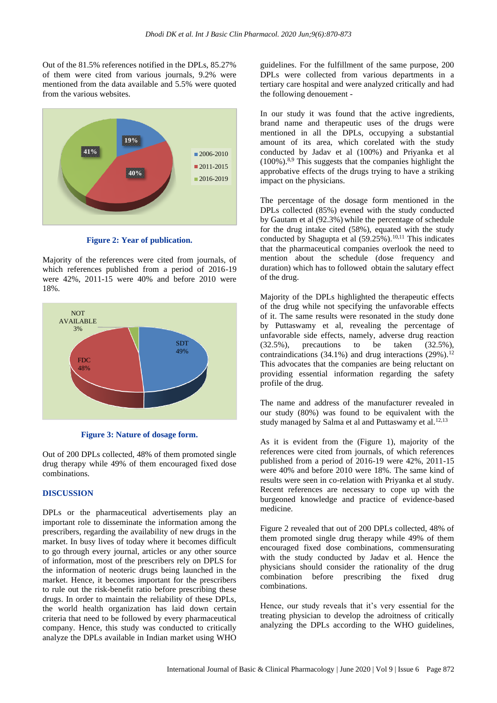Out of the 81.5% references notified in the DPLs, 85.27% of them were cited from various journals, 9.2% were mentioned from the data available and 5.5% were quoted from the various websites.



**Figure 2: Year of publication.** 

Majority of the references were cited from journals, of which references published from a period of 2016-19 were 42%, 2011-15 were 40% and before 2010 were 18%.



**Figure 3: Nature of dosage form.**

Out of 200 DPLs collected, 48% of them promoted single drug therapy while 49% of them encouraged fixed dose combinations.

## **DISCUSSION**

DPLs or the pharmaceutical advertisements play an important role to disseminate the information among the prescribers, regarding the availability of new drugs in the market. In busy lives of today where it becomes difficult to go through every journal, articles or any other source of information, most of the prescribers rely on DPLS for the information of neoteric drugs being launched in the market. Hence, it becomes important for the prescribers to rule out the risk-benefit ratio before prescribing these drugs. In order to maintain the reliability of these DPLs, the world health organization has laid down certain criteria that need to be followed by every pharmaceutical company. Hence, this study was conducted to critically analyze the DPLs available in Indian market using WHO

guidelines. For the fulfillment of the same purpose, 200 DPLs were collected from various departments in a tertiary care hospital and were analyzed critically and had the following denouement -

In our study it was found that the active ingredients, brand name and therapeutic uses of the drugs were mentioned in all the DPLs, occupying a substantial amount of its area, which corelated with the study conducted by Jadav et al (100%) and Priyanka et al  $(100\%)$ .<sup>8,9</sup> This suggests that the companies highlight the approbative effects of the drugs trying to have a striking impact on the physicians.

The percentage of the dosage form mentioned in the DPLs collected (85%) evened with the study conducted by Gautam et al (92.3%) while the percentage of schedule for the drug intake cited (58%), equated with the study conducted by Shagupta et al  $(59.25\%)$ .<sup>10,11</sup> This indicates that the pharmaceutical companies overlook the need to mention about the schedule (dose frequency and duration) which has to followed obtain the salutary effect of the drug.

Majority of the DPLs highlighted the therapeutic effects of the drug while not specifying the unfavorable effects of it. The same results were resonated in the study done by Puttaswamy et al, revealing the percentage of unfavorable side effects, namely, adverse drug reaction  $(32.5\%)$ , precautions to be taken  $(32.5\%)$ . contraindications  $(34.1\%)$  and drug interactions  $(29\%)$ .<sup>12</sup> This advocates that the companies are being reluctant on providing essential information regarding the safety profile of the drug.

The name and address of the manufacturer revealed in our study (80%) was found to be equivalent with the study managed by Salma et al and Puttaswamy et al. $12,13$ 

As it is evident from the (Figure 1), majority of the references were cited from journals, of which references published from a period of 2016-19 were 42%, 2011-15 were 40% and before 2010 were 18%. The same kind of results were seen in co-relation with Priyanka et al study. Recent references are necessary to cope up with the burgeoned knowledge and practice of evidence-based medicine.

Figure 2 revealed that out of 200 DPLs collected, 48% of them promoted single drug therapy while 49% of them encouraged fixed dose combinations, commensurating with the study conducted by Jadav et al. Hence the physicians should consider the rationality of the drug combination before prescribing the fixed drug combinations.

Hence, our study reveals that it's very essential for the treating physician to develop the adroitness of critically analyzing the DPLs according to the WHO guidelines,